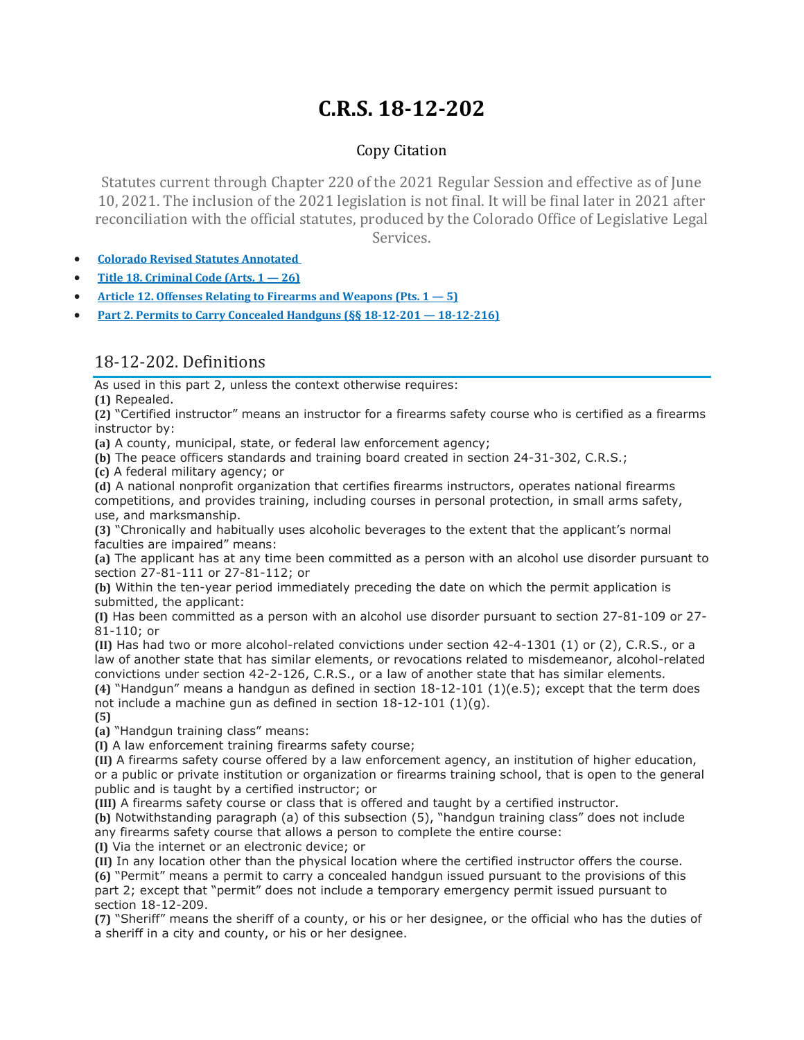# **C.R.S. 18-12-202**

## Copy Citation

Statutes current through Chapter 220 of the 2021 Regular Session and effective as of June 10, 2021. The inclusion of the 2021 legislation is not final. It will be final later in 2021 after reconciliation with the official statutes, produced by the Colorado Office of Legislative Legal Services.

- **Colorado Revised Statutes [Annotated](https://advance.lexis.com/documentpage/?pdmfid=1000516&crid=49dcc732-d412-4d8f-abed-7b50de094239&pdistocdocslideraccess=true&config=014FJAAyNGJkY2Y4Zi1mNjgyLTRkN2YtYmE4OS03NTYzNzYzOTg0OGEKAFBvZENhdGFsb2d592qv2Kywlf8caKqYROP5&pddocfullpath=%2Fshared%2Fdocument%2Fstatutes-legislation%2Furn%3AcontentItem%3A61P5-WSW1-DYDC-J3CW-00008-00&pdcomponentid=234177&pdtocnodeidentifier=AASAAWAACAAC&ecomp=sssdkkk&prid=1e601233-a751-4af9-98e9-9916f55cd69c)**
- **Title 18. [Criminal](https://advance.lexis.com/documentpage/?pdmfid=1000516&crid=49dcc732-d412-4d8f-abed-7b50de094239&pdistocdocslideraccess=true&config=014FJAAyNGJkY2Y4Zi1mNjgyLTRkN2YtYmE4OS03NTYzNzYzOTg0OGEKAFBvZENhdGFsb2d592qv2Kywlf8caKqYROP5&pddocfullpath=%2Fshared%2Fdocument%2Fstatutes-legislation%2Furn%3AcontentItem%3A61P5-WSW1-DYDC-J3CW-00008-00&pdcomponentid=234177&pdtocnodeidentifier=AASAAWAACAAC&ecomp=sssdkkk&prid=1e601233-a751-4af9-98e9-9916f55cd69c) Code (Arts. 1 — 26)**
- **Article 12. Offenses Relating to Firearms and [Weapons](https://advance.lexis.com/documentpage/?pdmfid=1000516&crid=49dcc732-d412-4d8f-abed-7b50de094239&pdistocdocslideraccess=true&config=014FJAAyNGJkY2Y4Zi1mNjgyLTRkN2YtYmE4OS03NTYzNzYzOTg0OGEKAFBvZENhdGFsb2d592qv2Kywlf8caKqYROP5&pddocfullpath=%2Fshared%2Fdocument%2Fstatutes-legislation%2Furn%3AcontentItem%3A61P5-WSW1-DYDC-J3CW-00008-00&pdcomponentid=234177&pdtocnodeidentifier=AASAAWAACAAC&ecomp=sssdkkk&prid=1e601233-a751-4af9-98e9-9916f55cd69c) (Pts. 1 — 5)**
- **Part 2. Permits to Carry Concealed Handguns (§§ 18-12-201 — [18-12-216\)](https://advance.lexis.com/documentpage/?pdmfid=1000516&crid=49dcc732-d412-4d8f-abed-7b50de094239&pdistocdocslideraccess=true&config=014FJAAyNGJkY2Y4Zi1mNjgyLTRkN2YtYmE4OS03NTYzNzYzOTg0OGEKAFBvZENhdGFsb2d592qv2Kywlf8caKqYROP5&pddocfullpath=%2Fshared%2Fdocument%2Fstatutes-legislation%2Furn%3AcontentItem%3A61P5-WSW1-DYDC-J3CW-00008-00&pdcomponentid=234177&pdtocnodeidentifier=AASAAWAACAAC&ecomp=sssdkkk&prid=1e601233-a751-4af9-98e9-9916f55cd69c)**

# 18-12-202. Definitions

As used in this part 2, unless the context otherwise requires:

**(1)** Repealed.

**(2)** "Certified instructor" means an instructor for a firearms safety course who is certified as a firearms instructor by:

**(a)** A county, municipal, state, or federal law enforcement agency;

**(b)** The peace officers standards and training board created in section 24-31-302, C.R.S.;

**(c)** A federal military agency; or

**(d)** A national nonprofit organization that certifies firearms instructors, operates national firearms competitions, and provides training, including courses in personal protection, in small arms safety, use, and marksmanship.

**(3)** "Chronically and habitually uses alcoholic beverages to the extent that the applicant's normal faculties are impaired" means:

**(a)** The applicant has at any time been committed as a person with an alcohol use disorder pursuant to section 27-81-111 or 27-81-112; or

**(b)** Within the ten-year period immediately preceding the date on which the permit application is submitted, the applicant:

**(I)** Has been committed as a person with an alcohol use disorder pursuant to section 27-81-109 or 27- 81-110; or

**(II)** Has had two or more alcohol-related convictions under section 42-4-1301 (1) or (2), C.R.S., or a law of another state that has similar elements, or revocations related to misdemeanor, alcohol-related convictions under section 42-2-126, C.R.S., or a law of another state that has similar elements.

**(4)** "Handgun" means a handgun as defined in section 18-12-101 (1)(e.5); except that the term does not include a machine gun as defined in section 18-12-101 (1)(g).

**(5)**

**(a)** "Handgun training class" means:

**(I)** A law enforcement training firearms safety course;

**(II)** A firearms safety course offered by a law enforcement agency, an institution of higher education, or a public or private institution or organization or firearms training school, that is open to the general public and is taught by a certified instructor; or

**(III)** A firearms safety course or class that is offered and taught by a certified instructor.

**(b)** Notwithstanding paragraph (a) of this subsection (5), "handgun training class" does not include any firearms safety course that allows a person to complete the entire course:

**(I)** Via the internet or an electronic device; or

**(II)** In any location other than the physical location where the certified instructor offers the course. **(6)** "Permit" means a permit to carry a concealed handgun issued pursuant to the provisions of this part 2; except that "permit" does not include a temporary emergency permit issued pursuant to section 18-12-209.

**(7)** "Sheriff" means the sheriff of a county, or his or her designee, or the official who has the duties of a sheriff in a city and county, or his or her designee.